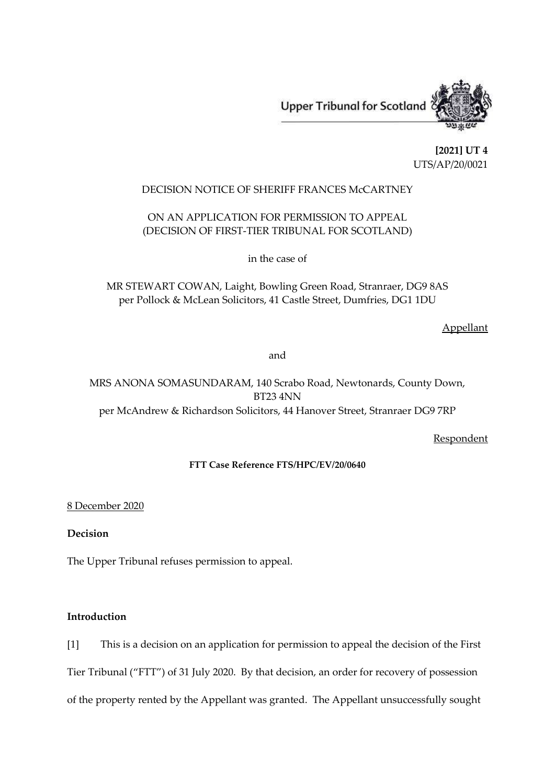**Upper Tribunal for Scotland** 



**[2021] UT 4** UTS/AP/20/0021

# DECISION NOTICE OF SHERIFF FRANCES McCARTNEY

# ON AN APPLICATION FOR PERMISSION TO APPEAL (DECISION OF FIRST-TIER TRIBUNAL FOR SCOTLAND)

in the case of

MR STEWART COWAN, Laight, Bowling Green Road, Stranraer, DG9 8AS per Pollock & McLean Solicitors, 41 Castle Street, Dumfries, DG1 1DU

Appellant

and

MRS ANONA SOMASUNDARAM, 140 Scrabo Road, Newtonards, County Down, BT23 4NN per McAndrew & Richardson Solicitors, 44 Hanover Street, Stranraer DG9 7RP

Respondent

#### **FTT Case Reference FTS/HPC/EV/20/0640**

#### 8 December 2020

## **Decision**

The Upper Tribunal refuses permission to appeal.

## **Introduction**

[1] This is a decision on an application for permission to appeal the decision of the First Tier Tribunal ("FTT") of 31 July 2020. By that decision, an order for recovery of possession of the property rented by the Appellant was granted. The Appellant unsuccessfully sought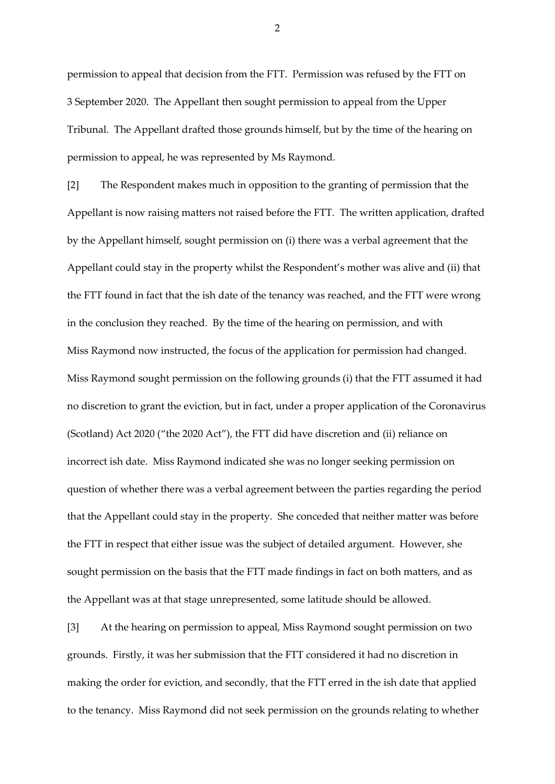permission to appeal that decision from the FTT. Permission was refused by the FTT on 3 September 2020. The Appellant then sought permission to appeal from the Upper Tribunal. The Appellant drafted those grounds himself, but by the time of the hearing on permission to appeal, he was represented by Ms Raymond.

[2] The Respondent makes much in opposition to the granting of permission that the Appellant is now raising matters not raised before the FTT. The written application, drafted by the Appellant himself, sought permission on (i) there was a verbal agreement that the Appellant could stay in the property whilst the Respondent's mother was alive and (ii) that the FTT found in fact that the ish date of the tenancy was reached, and the FTT were wrong in the conclusion they reached. By the time of the hearing on permission, and with Miss Raymond now instructed, the focus of the application for permission had changed. Miss Raymond sought permission on the following grounds (i) that the FTT assumed it had no discretion to grant the eviction, but in fact, under a proper application of the Coronavirus (Scotland) Act 2020 ("the 2020 Act"), the FTT did have discretion and (ii) reliance on incorrect ish date. Miss Raymond indicated she was no longer seeking permission on question of whether there was a verbal agreement between the parties regarding the period that the Appellant could stay in the property. She conceded that neither matter was before the FTT in respect that either issue was the subject of detailed argument. However, she sought permission on the basis that the FTT made findings in fact on both matters, and as the Appellant was at that stage unrepresented, some latitude should be allowed.

[3] At the hearing on permission to appeal, Miss Raymond sought permission on two grounds. Firstly, it was her submission that the FTT considered it had no discretion in making the order for eviction, and secondly, that the FTT erred in the ish date that applied to the tenancy. Miss Raymond did not seek permission on the grounds relating to whether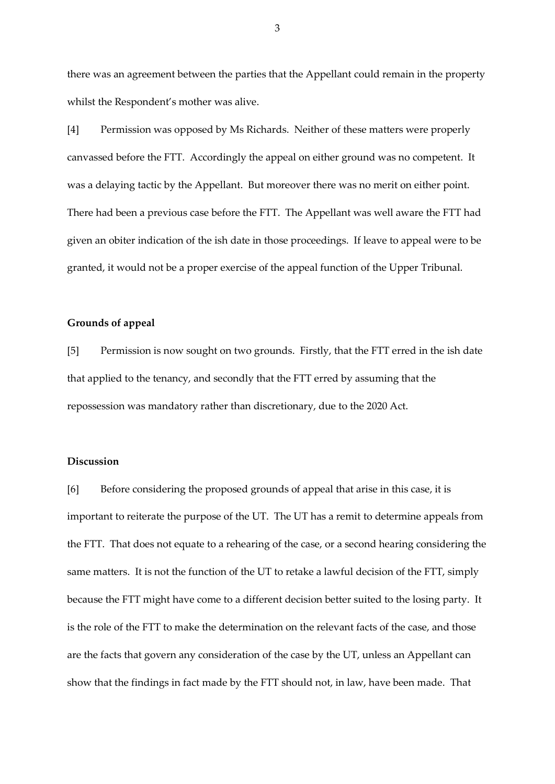there was an agreement between the parties that the Appellant could remain in the property whilst the Respondent's mother was alive.

[4] Permission was opposed by Ms Richards. Neither of these matters were properly canvassed before the FTT. Accordingly the appeal on either ground was no competent. It was a delaying tactic by the Appellant. But moreover there was no merit on either point. There had been a previous case before the FTT. The Appellant was well aware the FTT had given an obiter indication of the ish date in those proceedings. If leave to appeal were to be granted, it would not be a proper exercise of the appeal function of the Upper Tribunal.

#### **Grounds of appeal**

[5] Permission is now sought on two grounds. Firstly, that the FTT erred in the ish date that applied to the tenancy, and secondly that the FTT erred by assuming that the repossession was mandatory rather than discretionary, due to the 2020 Act.

### **Discussion**

[6] Before considering the proposed grounds of appeal that arise in this case, it is important to reiterate the purpose of the UT. The UT has a remit to determine appeals from the FTT. That does not equate to a rehearing of the case, or a second hearing considering the same matters. It is not the function of the UT to retake a lawful decision of the FTT, simply because the FTT might have come to a different decision better suited to the losing party. It is the role of the FTT to make the determination on the relevant facts of the case, and those are the facts that govern any consideration of the case by the UT, unless an Appellant can show that the findings in fact made by the FTT should not, in law, have been made. That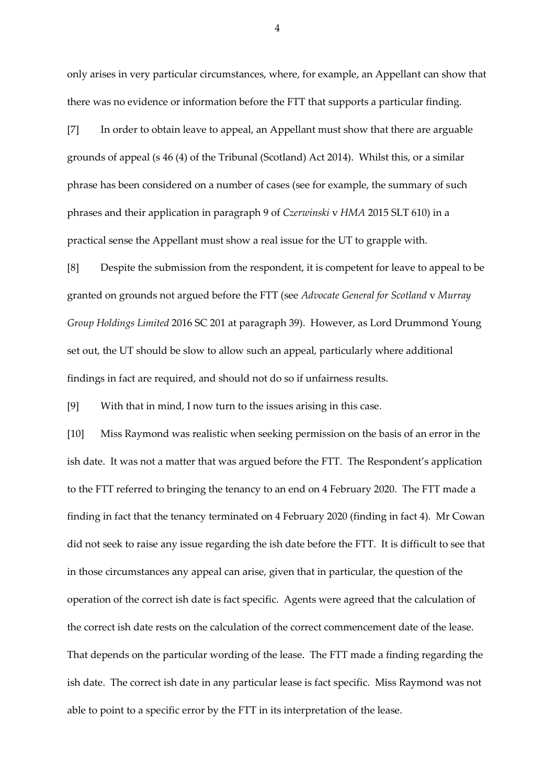only arises in very particular circumstances, where, for example, an Appellant can show that there was no evidence or information before the FTT that supports a particular finding.

[7] In order to obtain leave to appeal, an Appellant must show that there are arguable grounds of appeal (s 46 (4) of the Tribunal (Scotland) Act 2014). Whilst this, or a similar phrase has been considered on a number of cases (see for example, the summary of such phrases and their application in paragraph 9 of *Czerwinski* v *HMA* 2015 SLT 610) in a practical sense the Appellant must show a real issue for the UT to grapple with.

[8] Despite the submission from the respondent, it is competent for leave to appeal to be granted on grounds not argued before the FTT (see *Advocate General for Scotland* v *Murray Group Holdings Limited* 2016 SC 201 at paragraph 39). However, as Lord Drummond Young set out, the UT should be slow to allow such an appeal, particularly where additional findings in fact are required, and should not do so if unfairness results.

[9] With that in mind, I now turn to the issues arising in this case.

[10] Miss Raymond was realistic when seeking permission on the basis of an error in the ish date. It was not a matter that was argued before the FTT. The Respondent's application to the FTT referred to bringing the tenancy to an end on 4 February 2020. The FTT made a finding in fact that the tenancy terminated on 4 February 2020 (finding in fact 4). Mr Cowan did not seek to raise any issue regarding the ish date before the FTT. It is difficult to see that in those circumstances any appeal can arise, given that in particular, the question of the operation of the correct ish date is fact specific. Agents were agreed that the calculation of the correct ish date rests on the calculation of the correct commencement date of the lease. That depends on the particular wording of the lease. The FTT made a finding regarding the ish date. The correct ish date in any particular lease is fact specific. Miss Raymond was not able to point to a specific error by the FTT in its interpretation of the lease.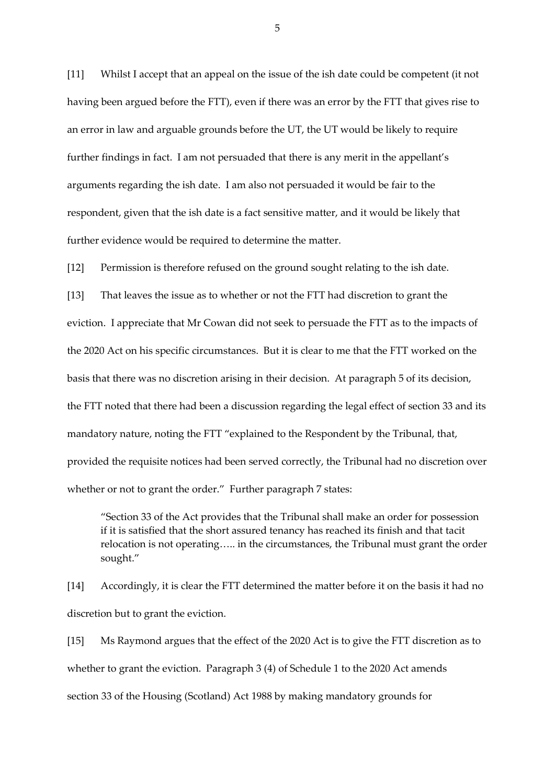[11] Whilst I accept that an appeal on the issue of the ish date could be competent (it not having been argued before the FTT), even if there was an error by the FTT that gives rise to an error in law and arguable grounds before the UT, the UT would be likely to require further findings in fact. I am not persuaded that there is any merit in the appellant's arguments regarding the ish date. I am also not persuaded it would be fair to the respondent, given that the ish date is a fact sensitive matter, and it would be likely that further evidence would be required to determine the matter.

[12] Permission is therefore refused on the ground sought relating to the ish date.

[13] That leaves the issue as to whether or not the FTT had discretion to grant the eviction. I appreciate that Mr Cowan did not seek to persuade the FTT as to the impacts of the 2020 Act on his specific circumstances. But it is clear to me that the FTT worked on the basis that there was no discretion arising in their decision. At paragraph 5 of its decision, the FTT noted that there had been a discussion regarding the legal effect of section 33 and its mandatory nature, noting the FTT "explained to the Respondent by the Tribunal, that, provided the requisite notices had been served correctly, the Tribunal had no discretion over whether or not to grant the order." Further paragraph 7 states:

"Section 33 of the Act provides that the Tribunal shall make an order for possession if it is satisfied that the short assured tenancy has reached its finish and that tacit relocation is not operating….. in the circumstances, the Tribunal must grant the order sought."

[14] Accordingly, it is clear the FTT determined the matter before it on the basis it had no discretion but to grant the eviction.

[15] Ms Raymond argues that the effect of the 2020 Act is to give the FTT discretion as to whether to grant the eviction. Paragraph 3 (4) of Schedule 1 to the 2020 Act amends section 33 of the Housing (Scotland) Act 1988 by making mandatory grounds for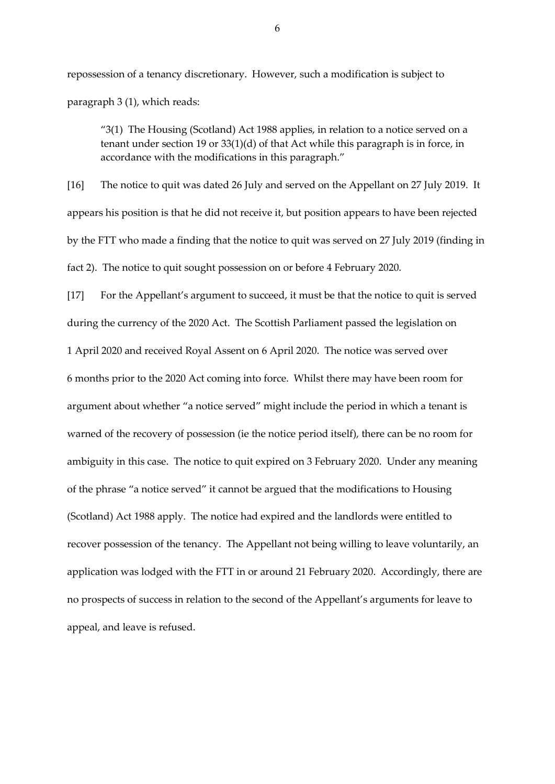repossession of a tenancy discretionary. However, such a modification is subject to paragraph 3 (1), which reads:

"3(1) The Housing (Scotland) Act 1988 applies, in relation to a notice served on a tenant under section 19 or 33(1)(d) of that Act while this paragraph is in force, in accordance with the modifications in this paragraph."

[16] The notice to quit was dated 26 July and served on the Appellant on 27 July 2019. It appears his position is that he did not receive it, but position appears to have been rejected by the FTT who made a finding that the notice to quit was served on 27 July 2019 (finding in fact 2). The notice to quit sought possession on or before 4 February 2020.

[17] For the Appellant's argument to succeed, it must be that the notice to quit is served during the currency of the 2020 Act. The Scottish Parliament passed the legislation on 1 April 2020 and received Royal Assent on 6 April 2020. The notice was served over 6 months prior to the 2020 Act coming into force. Whilst there may have been room for argument about whether "a notice served" might include the period in which a tenant is warned of the recovery of possession (ie the notice period itself), there can be no room for ambiguity in this case. The notice to quit expired on 3 February 2020. Under any meaning of the phrase "a notice served" it cannot be argued that the modifications to Housing (Scotland) Act 1988 apply. The notice had expired and the landlords were entitled to recover possession of the tenancy. The Appellant not being willing to leave voluntarily, an application was lodged with the FTT in or around 21 February 2020. Accordingly, there are no prospects of success in relation to the second of the Appellant's arguments for leave to appeal, and leave is refused.